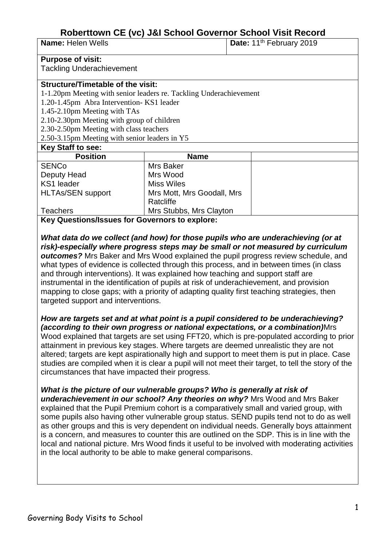# **Roberttown CE (vc) J&I School Governor School Visit Record**

| <b>Name: Helen Wells</b> |  |  |
|--------------------------|--|--|
|--------------------------|--|--|

**Date:** 11<sup>th</sup> February 2019

#### **Purpose of visit:**

Tackling Underachievement

## **Structure/Timetable of the visit:**

1-1.20pm Meeting with senior leaders re. Tackling Underachievement

1.20-1.45pm Abra Intervention- KS1 leader

1.45-2.10pm Meeting with TAs

2.10-2.30pm Meeting with group of children

2.30-2.50pm Meeting with class teachers

2.50-3.15pm Meeting with senior leaders in Y5

## **Key Staff to see:**

| <b>Position</b>          | <b>Name</b>                |  |
|--------------------------|----------------------------|--|
| <b>SENCo</b>             | Mrs Baker                  |  |
| Deputy Head              | Mrs Wood                   |  |
| KS1 leader               | <b>Miss Wiles</b>          |  |
| <b>HLTAs/SEN support</b> | Mrs Mott, Mrs Goodall, Mrs |  |
|                          | Ratcliffe                  |  |
| <b>Teachers</b>          | Mrs Stubbs, Mrs Clayton    |  |
|                          |                            |  |

**Key Questions/Issues for Governors to explore:**

*What data do we collect (and how) for those pupils who are underachieving (or at risk)-especially where progress steps may be small or not measured by curriculum outcomes?* Mrs Baker and Mrs Wood explained the pupil progress review schedule, and what types of evidence is collected through this process, and in between times (in class and through interventions). It was explained how teaching and support staff are instrumental in the identification of pupils at risk of underachievement, and provision mapping to close gaps; with a priority of adapting quality first teaching strategies, then targeted support and interventions.

*How are targets set and at what point is a pupil considered to be underachieving? (according to their own progress or national expectations, or a combination)*Mrs Wood explained that targets are set using FFT20, which is pre-populated according to prior attainment in previous key stages. Where targets are deemed unrealistic they are not altered; targets are kept aspirationally high and support to meet them is put in place. Case studies are compiled when it is clear a pupil will not meet their target, to tell the story of the circumstances that have impacted their progress.

# *What is the picture of our vulnerable groups? Who is generally at risk of*

*underachievement in our school? Any theories on why?* Mrs Wood and Mrs Baker explained that the Pupil Premium cohort is a comparatively small and varied group, with some pupils also having other vulnerable group status. SEND pupils tend not to do as well as other groups and this is very dependent on individual needs. Generally boys attainment is a concern, and measures to counter this are outlined on the SDP. This is in line with the local and national picture. Mrs Wood finds it useful to be involved with moderating activities in the local authority to be able to make general comparisons.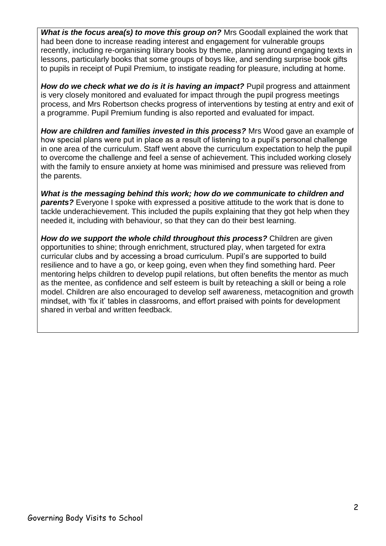*What is the focus area(s) to move this group on?* **Mrs Goodall explained the work that** had been done to increase reading interest and engagement for vulnerable groups recently, including re-organising library books by theme, planning around engaging texts in lessons, particularly books that some groups of boys like, and sending surprise book gifts to pupils in receipt of Pupil Premium, to instigate reading for pleasure, including at home.

**How do we check what we do is it is having an impact?** Pupil progress and attainment is very closely monitored and evaluated for impact through the pupil progress meetings process, and Mrs Robertson checks progress of interventions by testing at entry and exit of a programme. Pupil Premium funding is also reported and evaluated for impact.

*How are children and families invested in this process?* Mrs Wood gave an example of how special plans were put in place as a result of listening to a pupil's personal challenge in one area of the curriculum. Staff went above the curriculum expectation to help the pupil to overcome the challenge and feel a sense of achievement. This included working closely with the family to ensure anxiety at home was minimised and pressure was relieved from the parents.

*What is the messaging behind this work; how do we communicate to children and*  **parents?** Everyone I spoke with expressed a positive attitude to the work that is done to tackle underachievement. This included the pupils explaining that they got help when they needed it, including with behaviour, so that they can do their best learning.

*How do we support the whole child throughout this process?* Children are given opportunities to shine; through enrichment, structured play, when targeted for extra curricular clubs and by accessing a broad curriculum. Pupil's are supported to build resilience and to have a go, or keep going, even when they find something hard. Peer mentoring helps children to develop pupil relations, but often benefits the mentor as much as the mentee, as confidence and self esteem is built by reteaching a skill or being a role model. Children are also encouraged to develop self awareness, metacognition and growth mindset, with 'fix it' tables in classrooms, and effort praised with points for development shared in verbal and written feedback.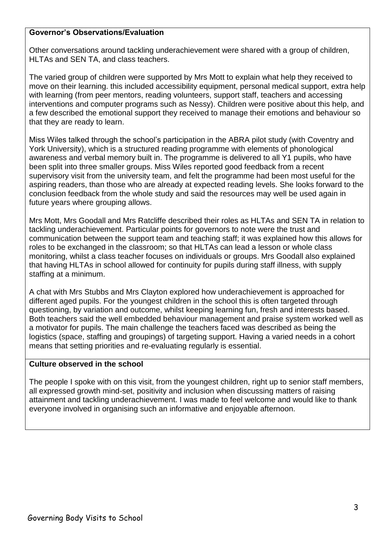## **Governor's Observations/Evaluation**

Other conversations around tackling underachievement were shared with a group of children, HLTAs and SEN TA, and class teachers.

The varied group of children were supported by Mrs Mott to explain what help they received to move on their learning. this included accessibility equipment, personal medical support, extra help with learning (from peer mentors, reading volunteers, support staff, teachers and accessing interventions and computer programs such as Nessy). Children were positive about this help, and a few described the emotional support they received to manage their emotions and behaviour so that they are ready to learn.

Miss Wiles talked through the school's participation in the ABRA pilot study (with Coventry and York University), which is a structured reading programme with elements of phonological awareness and verbal memory built in. The programme is delivered to all Y1 pupils, who have been split into three smaller groups. Miss Wiles reported good feedback from a recent supervisory visit from the university team, and felt the programme had been most useful for the aspiring readers, than those who are already at expected reading levels. She looks forward to the conclusion feedback from the whole study and said the resources may well be used again in future years where grouping allows.

Mrs Mott, Mrs Goodall and Mrs Ratcliffe described their roles as HLTAs and SEN TA in relation to tackling underachievement. Particular points for governors to note were the trust and communication between the support team and teaching staff; it was explained how this allows for roles to be exchanged in the classroom; so that HLTAs can lead a lesson or whole class monitoring, whilst a class teacher focuses on individuals or groups. Mrs Goodall also explained that having HLTAs in school allowed for continuity for pupils during staff illness, with supply staffing at a minimum.

A chat with Mrs Stubbs and Mrs Clayton explored how underachievement is approached for different aged pupils. For the youngest children in the school this is often targeted through questioning, by variation and outcome, whilst keeping learning fun, fresh and interests based. Both teachers said the well embedded behaviour management and praise system worked well as a motivator for pupils. The main challenge the teachers faced was described as being the logistics (space, staffing and groupings) of targeting support. Having a varied needs in a cohort means that setting priorities and re-evaluating regularly is essential.

## **Culture observed in the school**

The people I spoke with on this visit, from the youngest children, right up to senior staff members, all expressed growth mind-set, positivity and inclusion when discussing matters of raising attainment and tackling underachievement. I was made to feel welcome and would like to thank everyone involved in organising such an informative and enjoyable afternoon.